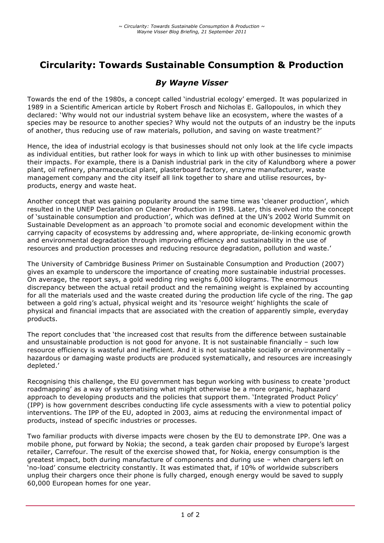# **Circularity: Towards Sustainable Consumption & Production**

## *By Wayne Visser*

Towards the end of the 1980s, a concept called 'industrial ecology' emerged. It was popularized in 1989 in a Scientific American article by Robert Frosch and Nicholas E. Gallopoulos, in which they declared: 'Why would not our industrial system behave like an ecosystem, where the wastes of a species may be resource to another species? Why would not the outputs of an industry be the inputs of another, thus reducing use of raw materials, pollution, and saving on waste treatment?'

Hence, the idea of industrial ecology is that businesses should not only look at the life cycle impacts as individual entities, but rather look for ways in which to link up with other businesses to minimise their impacts. For example, there is a Danish industrial park in the city of Kalundborg where a power plant, oil refinery, pharmaceutical plant, plasterboard factory, enzyme manufacturer, waste management company and the city itself all link together to share and utilise resources, byproducts, energy and waste heat.

Another concept that was gaining popularity around the same time was 'cleaner production', which resulted in the UNEP Declaration on Cleaner Production in 1998. Later, this evolved into the concept of 'sustainable consumption and production', which was defined at the UN's 2002 World Summit on Sustainable Development as an approach 'to promote social and economic development within the carrying capacity of ecosystems by addressing and, where appropriate, de-linking economic growth and environmental degradation through improving efficiency and sustainability in the use of resources and production processes and reducing resource degradation, pollution and waste.'

The University of Cambridge Business Primer on Sustainable Consumption and Production (2007) gives an example to underscore the importance of creating more sustainable industrial processes. On average, the report says, a gold wedding ring weighs 6,000 kilograms. The enormous discrepancy between the actual retail product and the remaining weight is explained by accounting for all the materials used and the waste created during the production life cycle of the ring. The gap between a gold ring's actual, physical weight and its 'resource weight' highlights the scale of physical and financial impacts that are associated with the creation of apparently simple, everyday products.

The report concludes that 'the increased cost that results from the difference between sustainable and unsustainable production is not good for anyone. It is not sustainable financially – such low resource efficiency is wasteful and inefficient. And it is not sustainable socially or environmentally – hazardous or damaging waste products are produced systematically, and resources are increasingly depleted.'

Recognising this challenge, the EU government has begun working with business to create 'product roadmapping' as a way of systematising what might otherwise be a more organic, haphazard approach to developing products and the policies that support them. 'Integrated Product Policy' (IPP) is how government describes conducting life cycle assessments with a view to potential policy interventions. The IPP of the EU, adopted in 2003, aims at reducing the environmental impact of products, instead of specific industries or processes.

Two familiar products with diverse impacts were chosen by the EU to demonstrate IPP. One was a mobile phone, put forward by Nokia; the second, a teak garden chair proposed by Europe's largest retailer, Carrefour. The result of the exercise showed that, for Nokia, energy consumption is the greatest impact, both during manufacture of components and during use – when chargers left on 'no-load' consume electricity constantly. It was estimated that, if 10% of worldwide subscribers unplug their chargers once their phone is fully charged, enough energy would be saved to supply 60,000 European homes for one year.